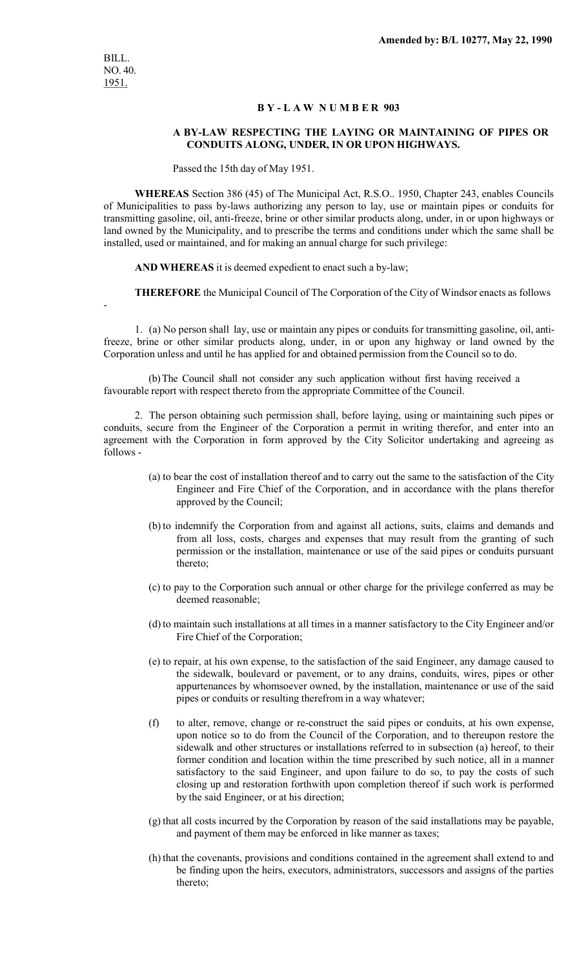## **B Y - L A W N U M B E R 903**

## **A BY-LAW RESPECTING THE LAYING OR MAINTAINING OF PIPES OR CONDUITS ALONG, UNDER, IN OR UPON HIGHWAYS.**

Passed the 15th day of May 1951.

**WHEREAS** Section 386 (45) of The Municipal Act, R.S.O.. 1950, Chapter 243, enables Councils of Municipalities to pass by-laws authorizing any person to lay, use or maintain pipes or conduits for transmitting gasoline, oil, anti-freeze, brine or other similar products along, under, in or upon highways or land owned by the Municipality, and to prescribe the terms and conditions under which the same shall be installed, used or maintained, and for making an annual charge for such privilege:

**AND WHEREAS** it is deemed expedient to enact such a by-law;

**THEREFORE** the Municipal Council of The Corporation of the City of Windsor enacts as follows

-

1. (a) No person shall lay, use or maintain any pipes or conduits for transmitting gasoline, oil, antifreeze, brine or other similar products along, under, in or upon any highway or land owned by the Corporation unless and until he has applied for and obtained permission from the Council so to do.

(b)The Council shall not consider any such application without first having received a favourable report with respect thereto from the appropriate Committee of the Council.

2. The person obtaining such permission shall, before laying, using or maintaining such pipes or conduits, secure from the Engineer of the Corporation a permit in writing therefor, and enter into an agreement with the Corporation in form approved by the City Solicitor undertaking and agreeing as follows -

- (a) to bear the cost of installation thereof and to carry out the same to the satisfaction of the City Engineer and Fire Chief of the Corporation, and in accordance with the plans therefor approved by the Council;
- (b) to indemnify the Corporation from and against all actions, suits, claims and demands and from all loss, costs, charges and expenses that may result from the granting of such permission or the installation, maintenance or use of the said pipes or conduits pursuant thereto;
- (c) to pay to the Corporation such annual or other charge for the privilege conferred as may be deemed reasonable;
- (d) to maintain such installations at all times in a manner satisfactory to the City Engineer and/or Fire Chief of the Corporation;
- (e) to repair, at his own expense, to the satisfaction of the said Engineer, any damage caused to the sidewalk, boulevard or pavement, or to any drains, conduits, wires, pipes or other appurtenances by whomsoever owned, by the installation, maintenance or use of the said pipes or conduits or resulting therefrom in a way whatever;
- (f) to alter, remove, change or re-construct the said pipes or conduits, at his own expense, upon notice so to do from the Council of the Corporation, and to thereupon restore the sidewalk and other structures or installations referred to in subsection (a) hereof, to their former condition and location within the time prescribed by such notice, all in a manner satisfactory to the said Engineer, and upon failure to do so, to pay the costs of such closing up and restoration forthwith upon completion thereof if such work is performed by the said Engineer, or at his direction;
- (g) that all costs incurred by the Corporation by reason of the said installations may be payable, and payment of them may be enforced in like manner as taxes;
- (h) that the covenants, provisions and conditions contained in the agreement shall extend to and be finding upon the heirs, executors, administrators, successors and assigns of the parties thereto;